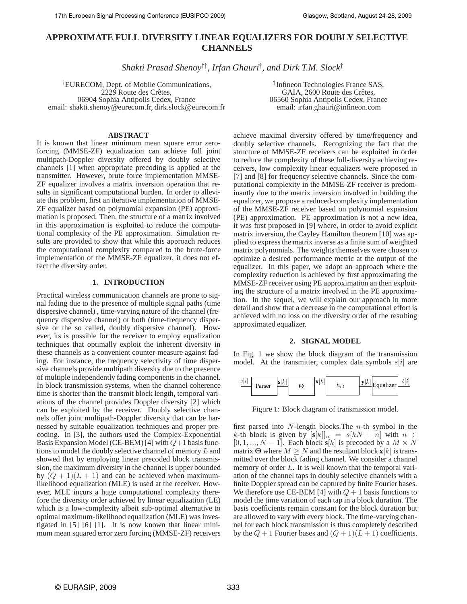# **APPROXIMATE FULL DIVERSITY LINEAR EQUALIZERS FOR DOUBLY SELECTIVE CHANNELS**

*Shakti Prasad Shenoy*†‡*, Irfan Ghauri*‡ *, and Dirk T.M. Slock*†

†EURECOM, Dept. of Mobile Communications, 2229 Route des Crêtes, 06904 Sophia Antipolis Cedex, France email: shakti.shenoy@eurecom.fr, dirk.slock@eurecom.fr

## **ABSTRACT**

It is known that linear minimum mean square error zeroforcing (MMSE-ZF) equalization can achieve full joint multipath-Doppler diversity offered by doubly selective channels [1] when appropriate precoding is applied at the transmitter. However, brute force implementation MMSE-ZF equalizer involves a matrix inversion operation that results in significant computational burden. In order to alleviate this problem, first an iterative implementation of MMSE-ZF equalizer based on polynomial expansion (PE) approximation is proposed. Then, the structure of a matrix involved in this approximation is exploited to reduce the computational complexity of the PE approximation. Simulation results are provided to show that while this approach reduces the computational complexity compared to the brute-force implementation of the MMSE-ZF equalizer, it does not effect the diversity order.

## **1. INTRODUCTION**

Practical wireless communication channels are prone to signal fading due to the presence of multiple signal paths (time dispersive channel) , time-varying nature of the channel (frequency dispersive channel) or both (time-frequency dispersive or the so called, doubly dispersive channel). However, its is possible for the receiver to employ equalization techniques that optimally exploit the inherent diversity in these channels as a convenient counter-measure against fading. For instance, the frequency selectivity of time dispersive channels provide multipath diversity due to the presence of multiple independently fading components in the channel. In block transmission systems, when the channel coherence time is shorter than the transmit block length, temporal variations of the channel provides Doppler diversity [2] which can be exploited by the receiver. Doubly selective channels offer joint multipath-Doppler diversity that can be harnessed by suitable equalization techniques and proper precoding. In [3], the authors used the Complex-Exponential Basis Expansion Model (CE-BEM) [4] with  $Q+1$  basis functions to model the doubly selective channel of memory L and showed that by employing linear precoded block transmission, the maximum diversity in the channel is upper bounded by  $(Q + 1)(L + 1)$  and can be achieved when maximumlikelihood equalization (MLE) is used at the receiver. However, MLE incurs a huge computational complexity therefore the diversity order achieved by linear equalization (LE) which is a low-complexity albeit sub-optimal alternative to optimal maximum-likelihood equalization (MLE) was investigated in [5] [6] [1]. It is now known that linear minimum mean squared error zero forcing (MMSE-ZF) receivers

‡ Infineon Technologies France SAS, GAIA, 2600 Route des Crêtes, 06560 Sophia Antipolis Cedex, France email: irfan.ghauri@infineon.com

achieve maximal diversity offered by time/frequency and doubly selective channels. Recognizing the fact that the structure of MMSE-ZF receivers can be exploited in order to reduce the complexity of these full-diversity achieving receivers, low complexity linear equalizers were proposed in [7] and [8] for frequency selective channels. Since the computational complexity in the MMSE-ZF receiver is predominantly due to the matrix inversion involved in building the equalizer, we propose a reduced-complexity implementation of the MMSE-ZF receiver based on polynomial expansion (PE) approximation. PE approximation is not a new idea, it was first proposed in [9] where, in order to avoid explicit matrix inversion, the Cayley Hamilton theorem [10] was applied to express the matrix inverse as a finite sum of weighted matrix polynomials. The weights themselves were chosen to optimize a desired performance metric at the output of the equalizer. In this paper, we adopt an approach where the complexity reduction is achieved by first approximating the MMSE-ZF receiver using PE approximation an then exploiting the structure of a matrix involved in the PE approximation. In the sequel, we will explain our approach in more detail and show that a decrease in the computational effort is achieved with no loss on the diversity order of the resulting approximated equalizer.

## **2. SIGNAL MODEL**

In Fig. 1 we show the block diagram of the transmission model. At the transmitter, complex data symbols  $s[i]$  are



Figure 1: Block diagram of transmission model.

first parsed into  $N$ -length blocks. The  $n$ -th symbol in the k-th block is given by  $[\mathbf{s}[k]]_n = s[kN + n]$  with  $n \in$  $[0, 1, ..., N - 1]$ . Each block **s**[k] is precoded by a  $M \times N$ matrix  $\Theta$  where  $M \geq N$  and the resultant block  $\mathbf{x}[k]$  is transmitted over the block fading channel. We consider a channel memory of order L. It is well known that the temporal variation of the channel taps in doubly selective channels with a finite Doppler spread can be captured by finite Fourier bases. We therefore use CE-BEM [4] with  $Q + 1$  basis functions to model the time variation of each tap in a block duration. The basis coefficients remain constant for the block duration but are allowed to vary with every block. The time-varying channel for each block transmission is thus completely described by the  $Q + 1$  Fourier bases and  $(Q + 1)(L + 1)$  coefficients.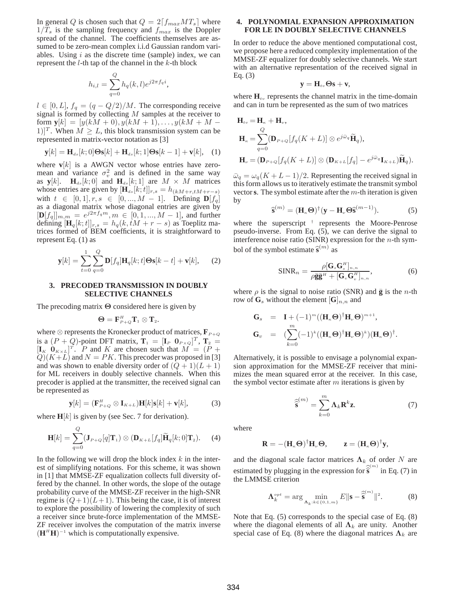In general Q is chosen such that  $Q = 2[f_{max}MT_s]$  where  $1/T_s$  is the sampling frequency and  $f_{max}$  is the Doppler spread of the channel. The coefficients themselves are assumed to be zero-mean complex i.i.d Gaussian random variables. Using  $i$  as the discrete time (sample) index, we can represent the  $l$ -th tap of the channel in the  $k$ -th block

$$
h_{i,l} = \sum_{q=0}^{Q} h_q(k,l) e^{j2\pi f_q i},
$$

 $l \in [0, L], f_q = (q - Q/2)/M$ . The corresponding receive signal is formed by collecting  $M$  samples at the receiver to form  $y[k] = [y(kM + 0), y(kM + 1), \dots, y(kM + M -$ 1)]<sup>T</sup>. When  $M \ge L$ , this block transmission system can be represented in matrix-vector notation as [3]

$$
\mathbf{y}[k] = \mathbf{H}_{ds}[k;0]\mathbf{\Theta}\mathbf{s}[k] + \mathbf{H}_{ds}[k;1]\mathbf{\Theta}\mathbf{s}[k-1] + \mathbf{v}[k], \quad (1)
$$

where  $\mathbf{v}[k]$  is a AWGN vector whose entries have zeromean and variance  $\sigma_v^2$  and is defined in the same way as  $y[k]$ .  $H_{ds}[k;0]$  and  $H_{ds}[k;1]$  are  $M \times M$  matrices whose entries are given by  $[\mathbf{H}_{ds}[k;t]]_{r,s} = h_{(kM+r,tM+r-s)}$ with  $t \in [0, 1], r, s \in [0, ..., M - 1]$ . Defining  $\mathbf{D}[f_q]$ as a diagonal matrix whose diagonal entries are given by  $[\mathbf{D}[f_q]]_{m,m} = e^{j2\pi f_q m}, m \in [0,1,...,M-1]$ , and further defining  $[\mathbf{H}_q[k;t]]_{r,s} = h_q(k, tM + r - s)$  as Toeplitz matrices formed of BEM coefficients, it is straightforward to represent Eq. (1) as

$$
\mathbf{y}[k] = \sum_{t=0}^{1} \sum_{q=0}^{Q} \mathbf{D}[f_q] \mathbf{H}_q[k; t] \mathbf{\Theta} \mathbf{s}[k-t] + \mathbf{v}[k], \quad (2)
$$

## **3. PRECODED TRANSMISSION IN DOUBLY SELECTIVE CHANNELS**

The precoding matrix Θ considered here is given by

$$
\Theta = \mathbf{F}_{P+Q}^H \mathbf{T}_1 \otimes \mathbf{T}_2.
$$

where  $\otimes$  represents the Kronecker product of matrices,  $\mathbf{F}_{P+Q}$ is a  $(P + Q)$ -point DFT matrix,  $\mathbf{T}_1 = [\mathbf{I}_P \ \mathbf{0}_{P \times Q}]^T$ ,  $\mathbf{T}_2 =$  $[\mathbf{I}_K \ \dot{\mathbf{0}}_{K \times L}]^T$ . P and K are chosen such that  $\hat{M} = (\hat{P} + \hat{P})^T$  $Q(K+L)$  and  $N = PK$ . This precoder was proposed in [3] and was shown to enable diversity order of  $(Q + 1)(L + 1)$ for ML receivers in doubly selective channels. When this precoder is applied at the transmitter, the received signal can be represented as

$$
\mathbf{y}[k] = (\mathbf{F}_{P+Q}^{H} \otimes \mathbf{I}_{K+L}) \mathbf{H}[k] \mathbf{s}[k] + \mathbf{v}[k],
$$
 (3)

where  $\mathbf{H}[k]$  is given by (see Sec. 7 for derivation).

$$
\mathbf{H}[k] = \sum_{q=0}^{Q} (\mathbf{J}_{P+Q}[q] \mathbf{T}_1) \otimes (\mathbf{D}_{K+L}[f_q] \widetilde{\mathbf{H}}_q[k;0] \mathbf{T}_2).
$$
 (4)

In the following we will drop the block index  $k$  in the interest of simplifying notations. For this scheme, it was shown in [1] that MMSE-ZF equalization collects full diversity offered by the channel. In other words, the slope of the outage probability curve of the MMSE-ZF receiver in the high-SNR regime is  $(Q+1)(L+1)$ . This being the case, it is of interest to explore the possibility of lowering the complexity of such a receiver since brute-force implementation of the MMSE-ZF receiver involves the computation of the matrix inverse  $(\mathbf{H}^{H}\mathbf{H})^{-1}$  which is computationally expensive.

## **4. POLYNOMIAL EXPANSION APPROXIMATION FOR LE IN DOUBLY SELECTIVE CHANNELS**

In order to reduce the above mentioned computational cost, we propose here a reduced complexity implementation of the MMSE-ZF equalizer for doubly selective channels. We start with an alternative representation of the received signal in Eq. (3)

$$
\mathbf{y} = \mathbf{H}_{tv} \boldsymbol{\Theta} \mathbf{s} + \mathbf{v},
$$

where  $\mathbf{H}_{tv}$  represents the channel matrix in the time-domain and can in turn be represented as the sum of two matrices

$$
\mathbf{H}_{tv} = \mathbf{H}_{\kappa} + \mathbf{H}_{\nu},
$$
\n
$$
\mathbf{H}_{\kappa} = \sum_{q=0}^{Q} (\mathbf{D}_{P+Q}[f_q(K+L)] \otimes e^{j\bar{\omega}_q} \widetilde{\mathbf{H}}_q),
$$
\n
$$
\mathbf{H}_{\nu} = (\mathbf{D}_{P+Q}[f_q(K+L)] \otimes (\mathbf{D}_{K+L}[f_q] - e^{j\bar{\omega}_q} \mathbf{I}_{K+L}) \widetilde{\mathbf{H}}_q).
$$

 $\bar{\omega}_q = \omega_q (K + L - 1)/2$ . Representing the received signal in this form allows us to iteratively estimate the transmit symbol vector**s**. The symbol estimate after the m-th iteration is given by

$$
\widehat{\mathbf{s}}^{(m)} = (\mathbf{H}_{\kappa} \Theta)^{\dagger} (\mathbf{y} - \mathbf{H}_{\nu} \Theta \widehat{\mathbf{s}}^{(m-1)}).
$$
 (5)

where the superscript † represents the Moore-Penrose pseudo-inverse. From Eq. (5), we can derive the signal to interference noise ratio (SINR) expression for the  $n$ -th symbol of the symbol estimate  $\hat{\mathbf{s}}^{(m)}$  as

$$
\text{SINR}_n = \frac{\rho[\mathbf{G}_s \mathbf{G}_s^H]_{n,n}}{\rho \bar{\mathbf{g}} \bar{\mathbf{g}}^H + [\mathbf{G}_v \mathbf{G}_v^H]_{n,n}},\tag{6}
$$

where  $\rho$  is the signal to noise ratio (SNR) and  $\bar{g}$  is the *n*-th row of  $\mathbf{G}_s$  without the element  $[\mathbf{G}]_{n,n}$  and

$$
\begin{array}{rcl}\n\mathbf{G}_s & = & \mathbf{I} + (-1)^m ((\mathbf{H}_\kappa \Theta)^\dagger \mathbf{H}_\nu \Theta)^{m+1}, \\
\mathbf{G}_v & = & (\sum_{k=0}^m (-1)^k ((\mathbf{H}_\kappa \Theta)^\dagger \mathbf{H}_\nu \Theta)^k)(\mathbf{H}_\kappa \Theta)^\dagger.\n\end{array}
$$

Alternatively, it is possible to envisage a polynomial expansion approximation for the MMSE-ZF receiver that minimizes the mean squared error at the receiver. In this case, the symbol vector estimate after  $m$  iterations is given by

$$
\widehat{\widehat{\mathbf{s}}}^{(m)} = \sum_{k=0}^{m} \mathbf{\Lambda}_k \mathbf{R}^k \mathbf{z}.
$$
 (7)

where

$$
\mathbf{R} = -(\mathbf{H}_{\kappa} \boldsymbol{\Theta})^{\dagger} \mathbf{H}_{\nu} \boldsymbol{\Theta}, \qquad \mathbf{z} = (\mathbf{H}_{\kappa} \boldsymbol{\Theta})^{\dagger} \mathbf{y},
$$

and the diagonal scale factor matrices  $\Lambda_k$  of order N are estimated by plugging in the expression for  $\hat{\hat{\mathbf{s}}}^{(m)}$  in Eq. (7) in the LMMSE criterion

$$
\mathbf{\Lambda}_{k}^{\text{opt}} = \arg\min_{\mathbf{\Lambda}_{k}:k\in\{0,1,m\}} E \|\mathbf{s} - \widehat{\widetilde{\mathbf{s}}}^{\text{min}}\|^{2}.
$$
 (8)

Note that Eq. (5) corresponds to the special case of Eq. (8) where the diagonal elements of all  $\Lambda_k$  are unity. Another special case of Eq. (8) where the diagonal matrices  $\Lambda_k$  are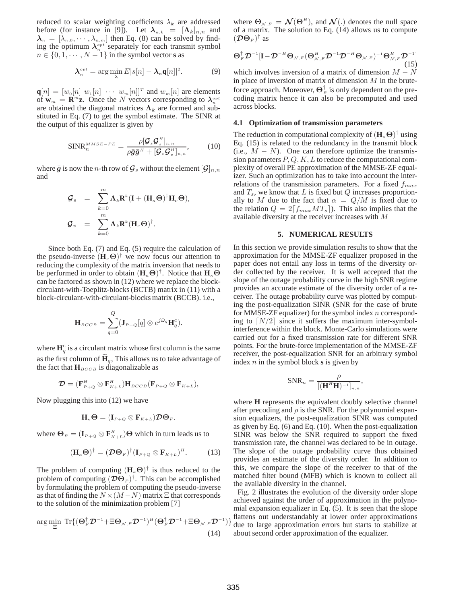reduced to scalar weighting coefficients  $\lambda_k$  are addressed before (for instance in [9]). Let  $\lambda_{n,k} = [\Lambda_k]_{n,n}$  and  $\lambda_n = [\lambda_{n,0}, \cdots, \lambda_{n,m}]$  then Eq. (8) can be solved by finding the optimum  $\lambda_n^{\text{opt}}$  separately for each transmit symbol  $n \in \{0, 1, \dots, N - 1\}$  in the symbol vector **s** as

$$
\lambda_n^{\tiny{opt}} = \arg\min_{\lambda} E[s[n] - \lambda_n \mathbf{q}[n]]^2. \tag{9}
$$

 $\mathbf{q}[n] = [w_0[n] \; w_1[n] \; \cdots \; w_m[n]]^T$  and  $w_m[n]$  are elements of  $w_m = \mathbf{R}^m \mathbf{z}$ . Once the N vectors corresponding to  $\lambda_n^{opt}$ are obtained the diagonal matrices  $\Lambda_k$  are formed and substituted in Eq. (7) to get the symbol estimate. The SINR at the output of this equalizer is given by

$$
\text{SINR}_{n}^{MMSE-PE} = \frac{\rho[\mathcal{G}_{s}\mathcal{G}_{s}^{H}]_{n,n}}{\rho\bar{g}\bar{g}^{H} + [\mathcal{G}_{v}\mathcal{G}_{v}^{H}]_{n,n}},\qquad(10)
$$

where  $\bar{g}$  is now the n-th row of  $\mathcal{G}_s$  without the element  $[\mathcal{G}]_{n,n}$ and

$$
\begin{array}{rcl} \mathcal{G}_s & = & \sum_{k=0}^m \mathbf{\Lambda}_k \mathbf{R}^k (\mathbf{I} + (\mathbf{H}_\kappa \boldsymbol{\Theta})^\dagger \mathbf{H}_\nu \boldsymbol{\Theta}), \\ \mathcal{G}_v & = & \sum_{k=0}^m \mathbf{\Lambda}_k \mathbf{R}^k (\mathbf{H}_\kappa \boldsymbol{\Theta})^\dagger. \end{array}
$$

Since both Eq. (7) and Eq. (5) require the calculation of the pseudo-inverse  $(\mathbf{H}_{k} \mathbf{\Theta})^{\dagger}$  we now focus our attention to reducing the complexity of the matrix inversion that needs to be performed in order to obtain  $(\mathbf{H}_{\kappa} \Theta)^{\dagger}$ . Notice that  $\mathbf{H}_{\kappa} \Theta$ can be factored as shown in (12) where we replace the blockcirculant-with-Toeplitz-blocks (BCTB) matrix in (11) with a block-circulant-with-circulant-blocks matrix (BCCB). i.e.,

$$
\mathbf{H}_{BCCB} = \sum_{q=0}^{Q} (\mathbf{J}_{P+Q}[q] \otimes e^{j\bar{\omega}_q} \mathbf{H}_q^c).
$$

where  $\mathbf{H}_q^c$  is a circulant matrix whose first column is the same as the first column of  $H_q$ , This allows us to take advantage of the fact that  $\mathbf{H}_{BCCB}$  is diagonalizable as

$$
\mathcal{D} = (\mathbf{F}_{P+Q}^H \otimes \mathbf{F}_{K+L}^H) \mathbf{H}_{BCCB} (\mathbf{F}_{P+Q} \otimes \mathbf{F}_{K+L}),
$$

Now plugging this into (12) we have

$$
\mathbf{H}_{\kappa}\mathbf{\Theta}=(\mathbf{I}_{P+Q}\otimes\mathbf{F}_{K+L})\mathcal{D}\mathbf{\Theta}_F.
$$

where  $\mathbf{\Theta}_F = (\mathbf{I}_{P+Q} \otimes \mathbf{F}_{K+L}^H) \mathbf{\Theta}$  which in turn leads us to

$$
(\mathbf{H}_{\kappa} \mathbf{\Theta})^{\dagger} = (\mathcal{D} \mathbf{\Theta}_F)^{\dagger} (\mathbf{I}_{P+Q} \otimes \mathbf{F}_{K+L})^H.
$$
 (13)

The problem of computing  $(\mathbf{H}_{k} \Theta)^{\dagger}$  is thus reduced to the problem of computing  $(D\Theta_F)^{\dagger}$ . This can be accomplished by formulating the problem of computing the pseudo-inverse as that of finding the  $N \times (M - N)$  matrix  $\Xi$  that corresponds to the solution of the minimization problem [7]

$$
\arg\min_{\Xi} \operatorname{Tr}\{(\Theta_F^{\dagger}\mathcal{D}^{-1}+\Xi\Theta_{\mathcal{N},F}\mathcal{D}^{-1})^H(\Theta_F^{\dagger}\mathcal{D}^{-1}+\Xi\Theta_{\mathcal{N},F}\mathcal{D}^{-1})\}
$$
\n(14)

where  $\Theta_{\mathcal{N},F} = \mathcal{N}(\Theta^H)$ , and  $\mathcal{N}(.)$  denotes the null space of a matrix. The solution to Eq. (14) allows us to compute  $(\mathcal{D}\Theta_F)^\dagger$  as

$$
\Theta_F^{\dagger} \mathcal{D}^{-1} [\mathbf{I} - \mathcal{D}^{-H} \Theta_{\mathcal{N},F} (\Theta_{\mathcal{N},F}^H \mathcal{D}^{-1} \mathcal{D}^{-H} \Theta_{\mathcal{N},F})^{-1} \Theta_{\mathcal{N},F}^H \mathcal{D}^{-1}]
$$
\n(15)

which involves inversion of a matrix of dimension  $M - N$ in place of inversion of matrix of dimension  $M$  in the bruteforce approach. Moreover,  $\mathbf{\Theta}^{\dagger}_{F}$  is only dependent on the precoding matrix hence it can also be precomputed and used across blocks.

#### **4.1 Optimization of transmission parameters**

The reduction in computational complexity of  $(\mathbf{H}_{\kappa} \boldsymbol{\Theta})^{\dagger}$  using Eq. (15) is related to the redundancy in the transmit block (i.e.,  $M - N$ ). One can therefore optimize the transmission parameters  $P, Q, K, L$  to reduce the computational complexity of overall PE approximation of the MMSE-ZF equalizer. Such an optimization has to take into account the interrelations of the transmission parameters. For a fixed  $f_{max}$ and  $T_s$ , we know that L is fixed but Q increases proportionally to M due to the fact that  $\alpha = Q/M$  is fixed due to the relation  $Q = 2[f_{max}MT_s]$ . This also implies that the available diversity at the receiver increases with M

#### **5. NUMERICAL RESULTS**

In this section we provide simulation results to show that the approximation for the MMSE-ZF equalizer proposed in the paper does not entail any loss in terms of the diversity order collected by the receiver. It is well accepted that the slope of the outage probability curve in the high SNR regime provides an accurate estimate of the diversity order of a receiver. The outage probability curve was plotted by computing the post-equalization SINR (SNR for the case of brute for MMSE-ZF equalizer) for the symbol index  $n$  corresponding to  $[N/2]$  since it suffers the maximum inter-symbolinterference within the block. Monte-Carlo simulations were carried out for a fixed transmission rate for different SNR points. For the brute-force implementation of the MMSE-ZF receiver, the post-equalization SNR for an arbitrary symbol index n in the symbol block **s** is given by

$$
\text{SNR}_n = \frac{\rho}{[(\mathbf{H}^H \mathbf{H})^{-1}]_{n,n}},
$$

where **H** represents the equivalent doubly selective channel after precoding and  $\rho$  is the SNR. For the polynomial expansion equalizers, the post-equalization SINR was computed as given by Eq. (6) and Eq. (10). When the post-equalization SINR was below the SNR required to support the fixed transmission rate, the channel was declared to be in outage. The slope of the outage probability curve thus obtained provides an estimate of the diversity order. In addition to this, we compare the slope of the receiver to that of the matched filter bound (MFB) which is known to collect all the available diversity in the channel.

Fig. 2 illustrates the evolution of the diversity order slope achieved against the order of approximation in the polynomial expansion equalizer in Eq. (5). It is seen that the slope flattens out understandably at lower order approximations due to large approximation errors but starts to stabilize at about second order approximation of the equalizer.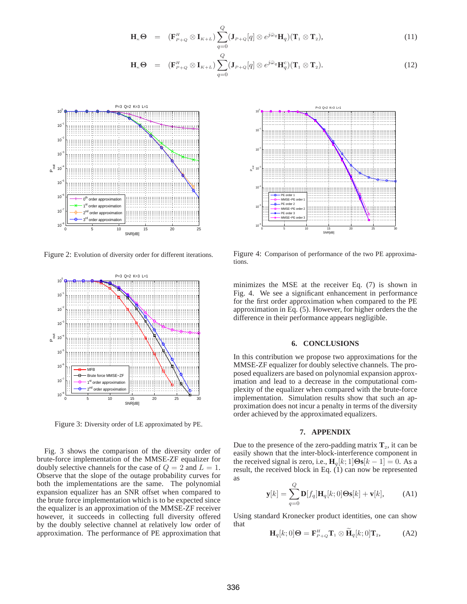$$
\mathbf{H}_{\kappa} \Theta = (\mathbf{F}_{P+Q}^H \otimes \mathbf{I}_{K+L}) \sum_{q=0}^Q (\mathbf{J}_{P+Q}[q] \otimes e^{j\bar{\omega}_q} \mathbf{H}_q) (\mathbf{T}_1 \otimes \mathbf{T}_2), \qquad (11)
$$

$$
\mathbf{H}_{\kappa} \Theta = (\mathbf{F}_{P+Q}^H \otimes \mathbf{I}_{K+L}) \sum_{q=0}^Q (\mathbf{J}_{P+Q}[q] \otimes e^{j\bar{\omega}_q} \mathbf{H}_q^c)(\mathbf{T}_1 \otimes \mathbf{T}_2).
$$
 (12)



Figure 2: Evolution of diversity order for different iterations.



Figure 3: Diversity order of LE approximated by PE.

Fig. 3 shows the comparison of the diversity order of brute-force implementation of the MMSE-ZF equalizer for doubly selective channels for the case of  $Q = 2$  and  $L = 1$ . Observe that the slope of the outage probability curves for both the implementations are the same. The polynomial expansion equalizer has an SNR offset when compared to the brute force implementation which is to be expected since the equalizer is an approximation of the MMSE-ZF receiver however, it succeeds in collecting full diversity offered by the doubly selective channel at relatively low order of approximation. The performance of PE approximation that



Figure 4: Comparison of performance of the two PE approximations.

minimizes the MSE at the receiver Eq. (7) is shown in Fig. 4. We see a significant enhancement in performance for the first order approximation when compared to the PE approximation in Eq. (5). However, for higher orders the the difference in their performance appears negligible.

## **6. CONCLUSIONS**

In this contribution we propose two approximations for the MMSE-ZF equalizer for doubly selective channels. The proposed equalizers are based on polynomial expansion approximation and lead to a decrease in the computational complexity of the equalizer when compared with the brute-force implementation. Simulation results show that such an approximation does not incur a penalty in terms of the diversity order achieved by the approximated equalizers.

#### **7. APPENDIX**

Due to the presence of the zero-padding matrix  $\mathbf{T}_2$ , it can be easily shown that the inter-block-interference component in the received signal is zero, i.e.,  $\mathbf{H}_q[k; 1] \boldsymbol{\Theta} \mathbf{s}[k-1] = 0$ . As a result, the received block in Eq.  $(1)$  can now be represented as

$$
\mathbf{y}[k] = \sum_{q=0}^{Q} \mathbf{D}[f_q] \mathbf{H}_q[k;0] \boldsymbol{\Theta} \mathbf{s}[k] + \mathbf{v}[k], \quad \text{(A1)}
$$

Using standard Kronecker product identities, one can show that

$$
\mathbf{H}_q[k;0]\mathbf{\Theta} = \mathbf{F}_{P+Q}^H \mathbf{T}_1 \otimes \widetilde{\mathbf{H}}_q[k;0]\mathbf{T}_2, \tag{A2}
$$